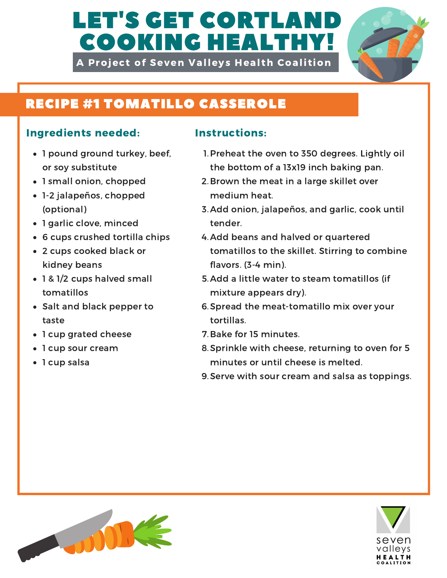# LET'S GET CORTLAI COOKING HEALTHY!

A Project of Seven Valleys Health Coalition



## RECIPE #1 TOMATILLO CASSEROLE

### Ingredients needed: Instructions:

- 1 pound ground turkey, beef, or soy substitute
- 1 small onion, chopped
- 1-2 jalapeños, chopped (optional)
- 1 garlic clove, minced
- 6 cups crushed tortilla chips
- 2 cups cooked black or kidney beans
- 1 & 1/2 cups halved small tomatillos
- Salt and black pepper to taste
- 1 cup grated cheese
- 1 cup sour cream
- 1 cup salsa

- 1. Preheat the oven to 350 degrees. Lightly oil the bottom of a 13x19 inch baking pan.
- 2. Brown the meat in a large skillet over medium heat.
- 3. Add onion, jalapeños, and garlic, cook until tender.
- 4. Add beans and halved or quartered tomatillos to the skillet. Stirring to combine flavors. (3-4 min).
- recipe harved small and the strike water to steam<br>tomatillos mixture appears dry). 5. Add a little water to steam tomatillos (if
	- 6. Spread the meat-tomatillo mix over your tortillas.
	- 7. Bake for 15 minutes.
	- 8. Sprinkle with cheese, returning to oven for 5 minutes or until cheese is melted.
	- 9. Serve with sour cream and salsa as toppings.



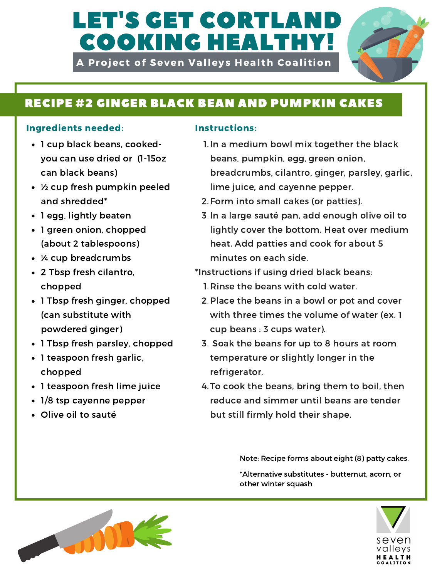# LET'S GET CORTLAI COOKING HEALTHY!

A Project of Seven Valleys Health Coalition



## RECIPE #2 GINGER BLACK BEAN AND PUMPKIN CAKES

### Ingredients needed: Instructions:

- 1 cup black beans, cookedyou can use dried or (1-15oz can black beans)
- ½ cup fresh pumpkin peeled and shredded\*
- 1 egg, lightly beaten
- 1 green onion, chopped (about 2 tablespoons)
- ¼ cup breadcrumbs
- 2 Tbsp fresh cilantro, chopped
- 1 Tbsp fresh ginger, chopped (can substitute with powdered ginger)
- 1 Tbsp fresh parsley, chopped
- 1 teaspoon fresh garlic, chopped
- 1 teaspoon fresh lime juice
- 1/8 tsp cayenne pepper
- Olive oil to sauté

- 1. In a medium bowl mix together the black beans, pumpkin, egg, green onion, breadcrumbs, cilantro, ginger, parsley, garlic, lime juice, and cayenne pepper.
- 2. Form into small cakes (or patties).
- 3. In a large sauté pan, add enough olive oil to lightly cover the bottom. Heat over medium heat. Add patties and cook for about 5 minutes on each side.
- \*Instructions if using dried black beans:
	- 1. Rinse the beans with cold water.
	- 2. Place the beans in a bowl or pot and cover with three times the volume of water (ex. 1 cup beans : 3 cups water).
	- 3. Soak the beans for up to 8 hours at room temperature or slightly longer in the refrigerator.
	- 4. To cook the beans, bring them to boil, then reduce and simmer until beans are tender but still firmly hold their shape.

\*Alternative substitutes - butternut, acorn, or Note: Recipe forms about eight (8) patty cakes.

other winter squash